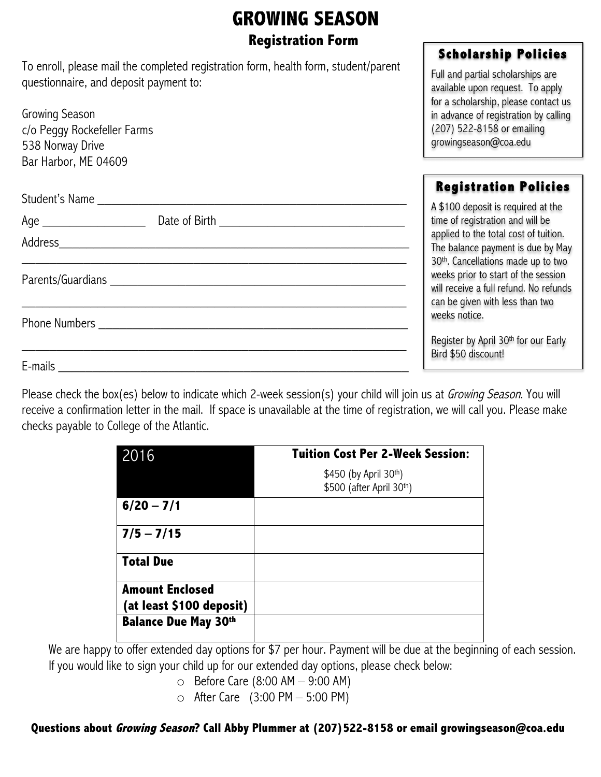# **GROWING SEASON Registration Form**

To enroll, please mail the completed registration form, health form, student/parent questionnaire, and deposit payment to:

| Growing Season<br>c/o Peggy Rockefeller Farms<br>538 Norway Drive                                                                                                                                                             | in advance of registration b<br>(207) 522-8158 or emailir<br>growingseason@coa.edu |
|-------------------------------------------------------------------------------------------------------------------------------------------------------------------------------------------------------------------------------|------------------------------------------------------------------------------------|
| Bar Harbor, ME 04609                                                                                                                                                                                                          |                                                                                    |
|                                                                                                                                                                                                                               | <b>Registration Pol</b>                                                            |
|                                                                                                                                                                                                                               | A \$100 deposit is required<br>time of registration and will                       |
|                                                                                                                                                                                                                               | applied to the total cost of                                                       |
|                                                                                                                                                                                                                               | The balance payment is du<br>30 <sup>th</sup> . Cancellations made up              |
| Parents/Guardians experience and the contract of the contract of the contract of the contract of the contract of the contract of the contract of the contract of the contract of the contract of the contract of the contract | weeks prior to start of the                                                        |
|                                                                                                                                                                                                                               | will receive a full refund. No<br>can be given with less than                      |
| <b>Phone Numbers Example 20 Contract 20 AM</b>                                                                                                                                                                                | weeks notice.                                                                      |
|                                                                                                                                                                                                                               | Register by April 30th for or                                                      |
| $E$ -mails $\_\_\_\_\_\_\_\_\_\_\_$                                                                                                                                                                                           | Bird \$50 discount!                                                                |

Please check the box(es) below to indicate which 2-week session(s) your child will join us at *Growing Season*. You will receive a confirmation letter in the mail. If space is unavailable at the time of registration, we will call you. Please make checks payable to College of the Atlantic.

| 2016                        | <b>Tuition Cost Per 2-Week Session:</b> |  |  |  |
|-----------------------------|-----------------------------------------|--|--|--|
|                             | \$450 (by April 30th)                   |  |  |  |
|                             | \$500 (after April 30th)                |  |  |  |
| $6/20 - 7/1$                |                                         |  |  |  |
| $7/5 - 7/15$                |                                         |  |  |  |
| <b>Total Due</b>            |                                         |  |  |  |
| <b>Amount Enclosed</b>      |                                         |  |  |  |
| (at least \$100 deposit)    |                                         |  |  |  |
| <b>Balance Due May 30th</b> |                                         |  |  |  |

We are happy to offer extended day options for \$7 per hour. Payment will be due at the beginning of each session. If you would like to sign your child up for our extended day options, please check below:

 $\circ$  Before Care (8:00 AM – 9:00 AM)

 $\circ$  After Care (3:00 PM – 5:00 PM)

### **Questions about Growing Season? Call Abby Plummer at (207)522-8158 or email growingseason@coa.edu**

## **Scholarship Policies**

Full and partial scholarships are available upon request. To apply for a scholarship, please contact us by calling (207) 522-8158 or emailing

## **Registration Policies**

at the time of registration and will be tuition. ıe by May p to two session o refunds two

ur Early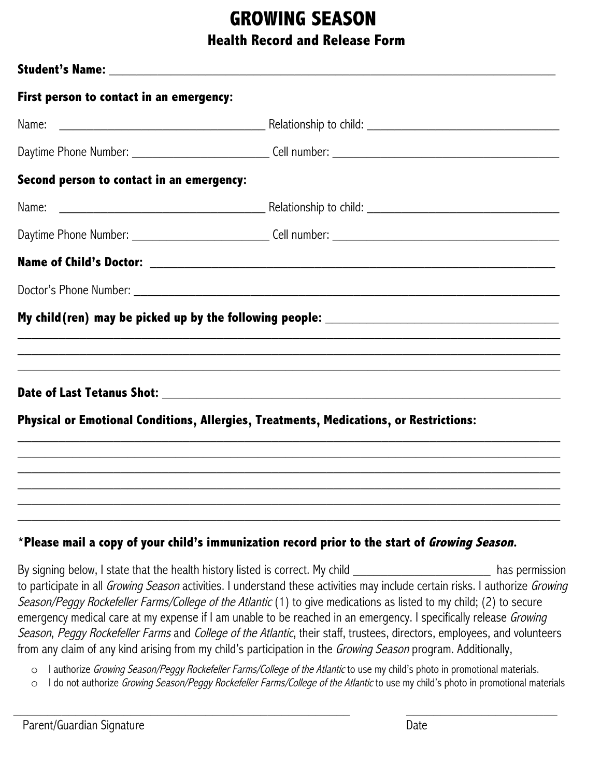## **GROWING SEASON Health Record and Release Form**

| First person to contact in an emergency:  |                                                                                        |
|-------------------------------------------|----------------------------------------------------------------------------------------|
|                                           |                                                                                        |
|                                           |                                                                                        |
| Second person to contact in an emergency: |                                                                                        |
|                                           |                                                                                        |
|                                           |                                                                                        |
|                                           |                                                                                        |
|                                           |                                                                                        |
|                                           | My child(ren) may be picked up by the following people: ________________________       |
|                                           | ,我们也不会有什么?""我们的人,我们也不会有什么?""我们的人,我们也不会有什么?""我们的人,我们也不会有什么?""我们的人,我们也不会有什么?""我们的人       |
|                                           |                                                                                        |
|                                           | Physical or Emotional Conditions, Allergies, Treatments, Medications, or Restrictions: |
|                                           |                                                                                        |
|                                           | ,我们也不会有什么?""我们的人,我们也不会有什么?""我们的人,我们也不会有什么?""我们的人,我们也不会有什么?""我们的人,我们也不会有什么?""我们的人       |
|                                           |                                                                                        |
|                                           |                                                                                        |

## **\*Please mail a copy of your child's immunization record prior to the start of Growing Season.**

By signing below, I state that the health history listed is correct. My child \_\_\_\_\_\_\_\_\_\_\_\_\_\_\_\_\_\_\_\_\_\_\_\_\_\_\_\_\_\_\_\_ has permission to participate in all Growing Season activities. I understand these activities may include certain risks. I authorize Growing Season/Peggy Rockefeller Farms/College of the Atlantic (1) to give medications as listed to my child; (2) to secure emergency medical care at my expense if I am unable to be reached in an emergency. I specifically release Growing Season, Peggy Rockefeller Farms and College of the Atlantic, their staff, trustees, directors, employees, and volunteers from any claim of any kind arising from my child's participation in the Growing Season program. Additionally,

o I authorize Growing Season/Peggy Rockefeller Farms/College of the Atlantic to use my child's photo in promotional materials.

o I do not authorize Growing Season/Peggy Rockefeller Farms/College of the Atlantic to use my child's photo in promotional materials

 $\_$  , and the set of the set of the set of the set of the set of the set of the set of the set of the set of the set of the set of the set of the set of the set of the set of the set of the set of the set of the set of th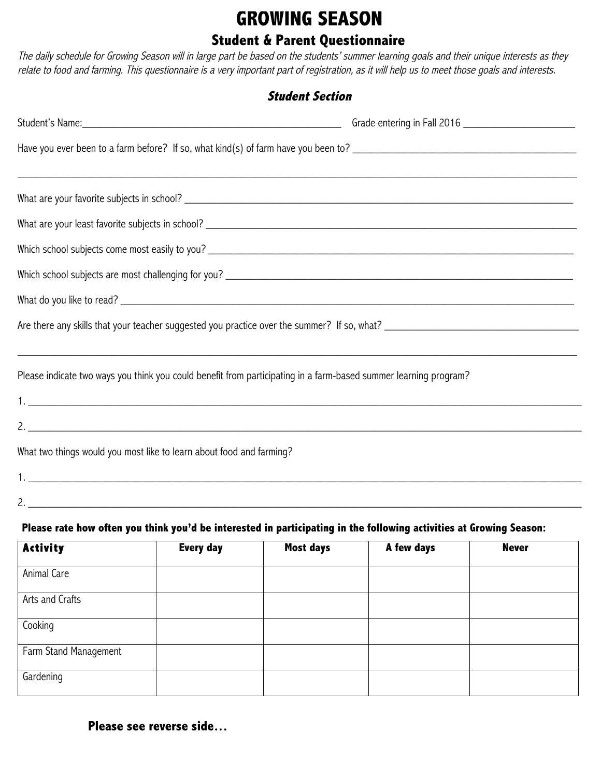# **GROWING SEASON Student & Parent Questionnaire**

The daily schedule for Growing Season will in large part be based on the students' summer learning goals and their unique interests as they relate to food and farming. This questionnaire is a very important part of registration, as it will help us to meet those goals and interests.

| <b>Student Section</b> |                                                                                                                     |                  |            |              |  |  |  |  |
|------------------------|---------------------------------------------------------------------------------------------------------------------|------------------|------------|--------------|--|--|--|--|
|                        | Student's Name: Name and Student's Name and Student's Name and Student's Name and Student's Name and Student's      |                  |            |              |  |  |  |  |
|                        |                                                                                                                     |                  |            |              |  |  |  |  |
|                        |                                                                                                                     |                  |            |              |  |  |  |  |
|                        |                                                                                                                     |                  |            |              |  |  |  |  |
|                        |                                                                                                                     |                  |            |              |  |  |  |  |
|                        |                                                                                                                     |                  |            |              |  |  |  |  |
|                        |                                                                                                                     |                  |            |              |  |  |  |  |
|                        | Are there any skills that your teacher suggested you practice over the summer? If so, what?                         |                  |            |              |  |  |  |  |
|                        | Please indicate two ways you think you could benefit from participating in a farm-based summer learning program?    |                  |            |              |  |  |  |  |
|                        | 2.                                                                                                                  |                  |            |              |  |  |  |  |
|                        | What two things would you most like to learn about food and farming?                                                |                  |            |              |  |  |  |  |
|                        |                                                                                                                     |                  |            |              |  |  |  |  |
|                        |                                                                                                                     |                  |            |              |  |  |  |  |
|                        | Please rate how often you think you'd be interested in participating in the following activities at Growing Season: |                  |            |              |  |  |  |  |
| <b>Activity</b>        | <b>Every day</b>                                                                                                    | <b>Most days</b> | A few days | <b>Never</b> |  |  |  |  |
| Animal Care            |                                                                                                                     |                  |            |              |  |  |  |  |
| Arts and Crafts        |                                                                                                                     |                  |            |              |  |  |  |  |

Cooking Farm Stand Management Gardening

**Please see reverse side…**